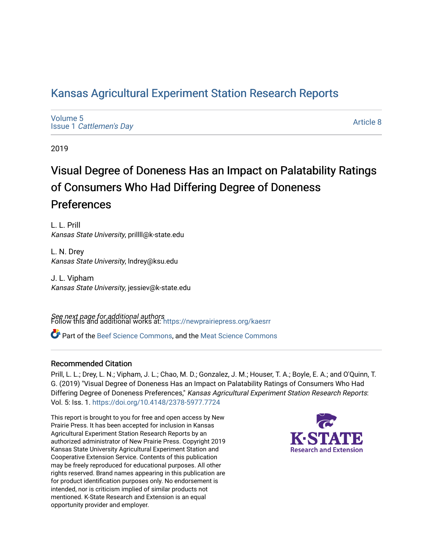## [Kansas Agricultural Experiment Station Research Reports](https://newprairiepress.org/kaesrr)

[Volume 5](https://newprairiepress.org/kaesrr/vol5) Issue 1 [Cattlemen's Day](https://newprairiepress.org/kaesrr/vol5/iss1) 

[Article 8](https://newprairiepress.org/kaesrr/vol5/iss1/8) 

2019

## Visual Degree of Doneness Has an Impact on Palatability Ratings of Consumers Who Had Differing Degree of Doneness Preferences

L. L. Prill Kansas State University, prillll@k-state.edu

L. N. Drey Kansas State University, lndrey@ksu.edu

J. L. Vipham Kansas State University, jessiev@k-state.edu

**See next page for additional authors**<br>Follow this and additional works at: https://newprairiepress.org/kaesrr

**C** Part of the [Beef Science Commons,](http://network.bepress.com/hgg/discipline/1404?utm_source=newprairiepress.org%2Fkaesrr%2Fvol5%2Fiss1%2F8&utm_medium=PDF&utm_campaign=PDFCoverPages) and the [Meat Science Commons](http://network.bepress.com/hgg/discipline/1301?utm_source=newprairiepress.org%2Fkaesrr%2Fvol5%2Fiss1%2F8&utm_medium=PDF&utm_campaign=PDFCoverPages)

### Recommended Citation

Prill, L. L.; Drey, L. N.; Vipham, J. L.; Chao, M. D.; Gonzalez, J. M.; Houser, T. A.; Boyle, E. A.; and O'Quinn, T. G. (2019) "Visual Degree of Doneness Has an Impact on Palatability Ratings of Consumers Who Had Differing Degree of Doneness Preferences," Kansas Agricultural Experiment Station Research Reports: Vol. 5: Iss. 1. <https://doi.org/10.4148/2378-5977.7724>

This report is brought to you for free and open access by New Prairie Press. It has been accepted for inclusion in Kansas Agricultural Experiment Station Research Reports by an authorized administrator of New Prairie Press. Copyright 2019 Kansas State University Agricultural Experiment Station and Cooperative Extension Service. Contents of this publication may be freely reproduced for educational purposes. All other rights reserved. Brand names appearing in this publication are for product identification purposes only. No endorsement is intended, nor is criticism implied of similar products not mentioned. K-State Research and Extension is an equal opportunity provider and employer.

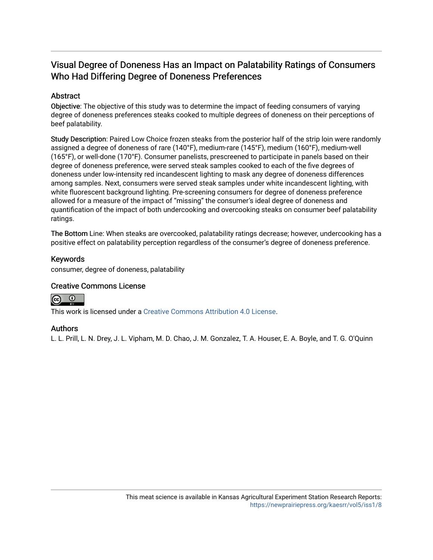## Visual Degree of Doneness Has an Impact on Palatability Ratings of Consumers Who Had Differing Degree of Doneness Preferences

## Abstract

Objective: The objective of this study was to determine the impact of feeding consumers of varying degree of doneness preferences steaks cooked to multiple degrees of doneness on their perceptions of beef palatability.

Study Description: Paired Low Choice frozen steaks from the posterior half of the strip loin were randomly assigned a degree of doneness of rare (140°F), medium-rare (145°F), medium (160°F), medium-well (165°F), or well-done (170°F). Consumer panelists, prescreened to participate in panels based on their degree of doneness preference, were served steak samples cooked to each of the five degrees of doneness under low-intensity red incandescent lighting to mask any degree of doneness differences among samples. Next, consumers were served steak samples under white incandescent lighting, with white fluorescent background lighting. Pre-screening consumers for degree of doneness preference allowed for a measure of the impact of "missing" the consumer's ideal degree of doneness and quantification of the impact of both undercooking and overcooking steaks on consumer beef palatability ratings.

The Bottom Line: When steaks are overcooked, palatability ratings decrease; however, undercooking has a positive effect on palatability perception regardless of the consumer's degree of doneness preference.

#### Keywords

consumer, degree of doneness, palatability

### Creative Commons License



This work is licensed under a [Creative Commons Attribution 4.0 License](https://creativecommons.org/licenses/by/4.0/).

#### Authors

L. L. Prill, L. N. Drey, J. L. Vipham, M. D. Chao, J. M. Gonzalez, T. A. Houser, E. A. Boyle, and T. G. O'Quinn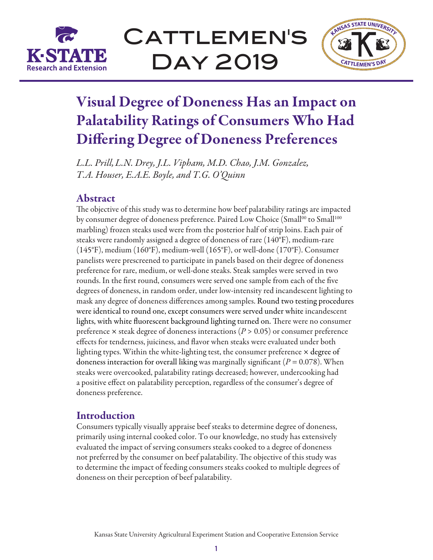

CATTLEMEN'S Day 2019



# Visual Degree of Doneness Has an Impact on Palatability Ratings of Consumers Who Had Differing Degree of Doneness Preferences

*L.L. Prill,L.N. Drey, J.L. Vipham, M.D. Chao, J.M. Gonzalez, T.A. Houser, E.A.E. Boyle, and T.G. O'Quinn*

## Abstract

The objective of this study was to determine how beef palatability ratings are impacted by consumer degree of doneness preference. Paired Low Choice (Small<sup>00</sup> to Small<sup>100</sup> marbling) frozen steaks used were from the posterior half of strip loins. Each pair of steaks were randomly assigned a degree of doneness of rare (140°F), medium-rare (145°F), medium (160°F), medium-well (165°F), or well-done (170°F). Consumer panelists were prescreened to participate in panels based on their degree of doneness preference for rare, medium, or well-done steaks. Steak samples were served in two rounds. In the first round, consumers were served one sample from each of the five degrees of doneness, in random order, under low-intensity red incandescent lighting to mask any degree of doneness differences among samples. Round two testing procedures were identical to round one, except consumers were served under white incandescent lights, with white fluorescent background lighting turned on. There were no consumer preference  $\times$  steak degree of doneness interactions ( $P > 0.05$ ) or consumer preference effects for tenderness, juiciness, and flavor when steaks were evaluated under both lighting types. Within the white-lighting test, the consumer preference × degree of doneness interaction for overall liking was marginally significant ( $P = 0.078$ ). When steaks were overcooked, palatability ratings decreased; however, undercooking had a positive effect on palatability perception, regardless of the consumer's degree of doneness preference.

## Introduction

Consumers typically visually appraise beef steaks to determine degree of doneness, primarily using internal cooked color. To our knowledge, no study has extensively evaluated the impact of serving consumers steaks cooked to a degree of doneness not preferred by the consumer on beef palatability. The objective of this study was to determine the impact of feeding consumers steaks cooked to multiple degrees of doneness on their perception of beef palatability.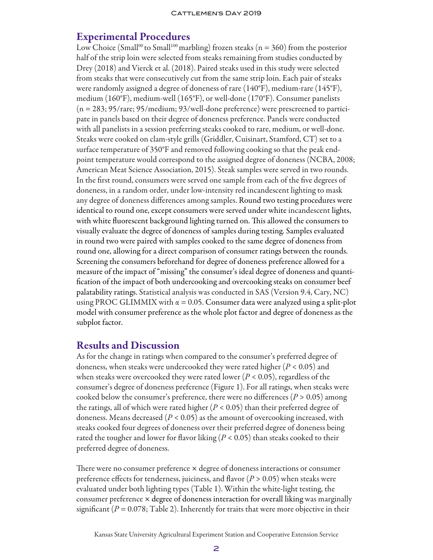## Experimental Procedures

Low Choice (Small<sup>00</sup> to Small<sup>100</sup> marbling) frozen steaks ( $n = 360$ ) from the posterior half of the strip loin were selected from steaks remaining from studies conducted by Drey (2018) and Vierck et al. (2018). Paired steaks used in this study were selected from steaks that were consecutively cut from the same strip loin. Each pair of steaks were randomly assigned a degree of doneness of rare (140°F), medium-rare (145°F), medium (160°F), medium-well (165°F), or well-done (170°F). Consumer panelists (n = 283; 95/rare; 95/medium; 93/well-done preference) were prescreened to participate in panels based on their degree of doneness preference. Panels were conducted with all panelists in a session preferring steaks cooked to rare, medium, or well-done. Steaks were cooked on clam-style grills (Griddler, Cuisinart, Stamford, CT) set to a surface temperature of 350°F and removed following cooking so that the peak endpoint temperature would correspond to the assigned degree of doneness (NCBA, 2008; American Meat Science Association, 2015). Steak samples were served in two rounds. In the first round, consumers were served one sample from each of the five degrees of doneness, in a random order, under low-intensity red incandescent lighting to mask any degree of doneness differences among samples. Round two testing procedures were identical to round one, except consumers were served under white incandescent lights, with white fluorescent background lighting turned on. This allowed the consumers to visually evaluate the degree of doneness of samples during testing. Samples evaluated in round two were paired with samples cooked to the same degree of doneness from round one, allowing for a direct comparison of consumer ratings between the rounds. Screening the consumers beforehand for degree of doneness preference allowed for a measure of the impact of "missing" the consumer's ideal degree of doneness and quantification of the impact of both undercooking and overcooking steaks on consumer beef palatability ratings. Statistical analysis was conducted in SAS (Version 9.4, Cary, NC) using PROC GLIMMIX with  $\alpha = 0.05$ . Consumer data were analyzed using a split-plot model with consumer preference as the whole plot factor and degree of doneness as the subplot factor.

## Results and Discussion

As for the change in ratings when compared to the consumer's preferred degree of doneness, when steaks were undercooked they were rated higher (*P* < 0.05) and when steaks were overcooked they were rated lower (*P* < 0.05), regardless of the consumer's degree of doneness preference (Figure 1). For all ratings, when steaks were cooked below the consumer's preference, there were no differences  $(P > 0.05)$  among the ratings, all of which were rated higher (*P* < 0.05) than their preferred degree of doneness. Means decreased (*P* < 0.05) as the amount of overcooking increased, with steaks cooked four degrees of doneness over their preferred degree of doneness being rated the tougher and lower for flavor liking (*P* < 0.05) than steaks cooked to their preferred degree of doneness.

There were no consumer preference × degree of doneness interactions or consumer preference effects for tenderness, juiciness, and flavor (*P* > 0.05) when steaks were evaluated under both lighting types (Table 1). Within the white-light testing, the consumer preference  $\times$  degree of doneness interaction for overall liking was marginally significant ( $P = 0.078$ ; Table 2). Inherently for traits that were more objective in their

Kansas State University Agricultural Experiment Station and Cooperative Extension Service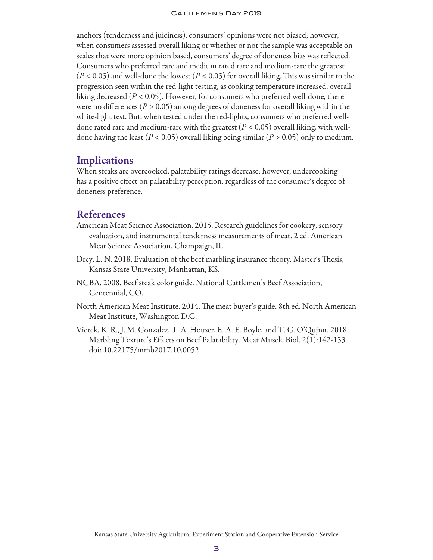#### CATTLEMEN'S DAY 2019

anchors (tenderness and juiciness), consumers' opinions were not biased; however, when consumers assessed overall liking or whether or not the sample was acceptable on scales that were more opinion based, consumers' degree of doneness bias was reflected. Consumers who preferred rare and medium rated rare and medium-rare the greatest (*P* < 0.05) and well-done the lowest (*P* < 0.05) for overall liking. This was similar to the progression seen within the red-light testing, as cooking temperature increased, overall liking decreased (*P* < 0.05). However, for consumers who preferred well-done, there were no differences ( $P > 0.05$ ) among degrees of doneness for overall liking within the white-light test. But, when tested under the red-lights, consumers who preferred welldone rated rare and medium-rare with the greatest (*P* < 0.05) overall liking, with welldone having the least ( $P < 0.05$ ) overall liking being similar ( $P > 0.05$ ) only to medium.

## **Implications**

When steaks are overcooked, palatability ratings decrease; however, undercooking has a positive effect on palatability perception, regardless of the consumer's degree of doneness preference.

## **References**

- American Meat Science Association. 2015. Research guidelines for cookery, sensory evaluation, and instrumental tenderness measurements of meat. 2 ed. American Meat Science Association, Champaign, IL.
- Drey, L. N. 2018. Evaluation of the beef marbling insurance theory. Master's Thesis, Kansas State University, Manhattan, KS.
- NCBA. 2008. Beef steak color guide. National Cattlemen's Beef Association, Centennial, CO.
- North American Meat Institute. 2014. The meat buyer's guide. 8th ed. North American Meat Institute, Washington D.C.
- Vierck, K. R., J. M. Gonzalez, T. A. Houser, E. A. E. Boyle, and T. G. O'Quinn. 2018. Marbling Texture's Effects on Beef Palatability. Meat Muscle Biol. 2(1):142-153. doi: 10.22175/mmb2017.10.0052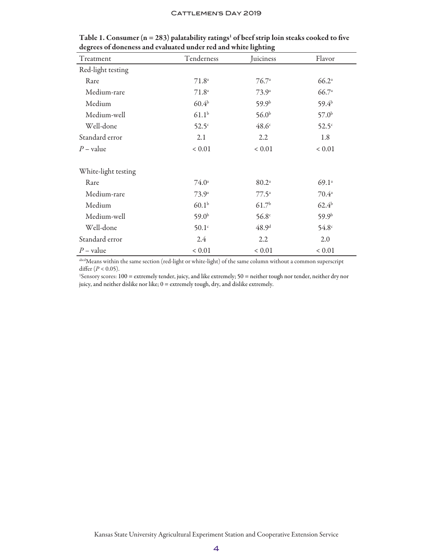#### CATTLEMEN'S DAY 2019

| Treatment           | Tenderness        | ▿<br>ъ<br>Juiciness | Flavor            |
|---------------------|-------------------|---------------------|-------------------|
| Red-light testing   |                   |                     |                   |
| Rare                | $71.8^{\circ}$    | $76.7^{\circ}$      | 66.2 <sup>a</sup> |
| Medium-rare         | $71.8^{\circ}$    | $73.9^{\circ}$      | 66.7a             |
| Medium              | $60.4^{b}$        | 59.9 <sup>b</sup>   | $59.4^{b}$        |
| Medium-well         | $61.1^{b}$        | 56.0 <sup>b</sup>   | 57.0 <sup>b</sup> |
| Well-done           | $52.5^\circ$      | $48.6^\circ$        | $52.5^\circ$      |
| Standard error      | 2.1               | 2.2                 | 1.8               |
| $P$ – value         | ${}< 0.01$        | ${}< 0.01$          | ${}< 0.01$        |
| White-light testing |                   |                     |                   |
| Rare                | $74.0^{\circ}$    | 80.2 <sup>a</sup>   | 69.1 <sup>a</sup> |
| Medium-rare         | $73.9^{\circ}$    | $77.5^{\circ}$      | $70.4^{\circ}$    |
| Medium              | 60.1 <sup>b</sup> | 61.7 <sup>b</sup>   | $62.4^{b}$        |
| Medium-well         | $59.0^{b}$        | $56.8^\circ$        | 59.9 <sup>b</sup> |
| Well-done           | 50.1 <sup>c</sup> | 48.9 <sup>d</sup>   | $54.8^\circ$      |
| Standard error      | 2.4               | 2.2                 | 2.0               |
| $P$ – value         | ${}< 0.01$        | ${}< 0.01$          | ${}< 0.01$        |

|  |  |                                                                | Table 1. Consumer ( $n = 283$ ) palatability ratings <sup>1</sup> of beef strip loin steaks cooked to five |
|--|--|----------------------------------------------------------------|------------------------------------------------------------------------------------------------------------|
|  |  | degrees of doneness and evaluated under red and white lighting |                                                                                                            |

abcdMeans within the same section (red-light or white-light) of the same column without a common superscript differ (*P* < 0.05).

1 Sensory scores: 100 = extremely tender, juicy, and like extremely; 50 = neither tough nor tender, neither dry nor juicy, and neither dislike nor like; 0 = extremely tough, dry, and dislike extremely.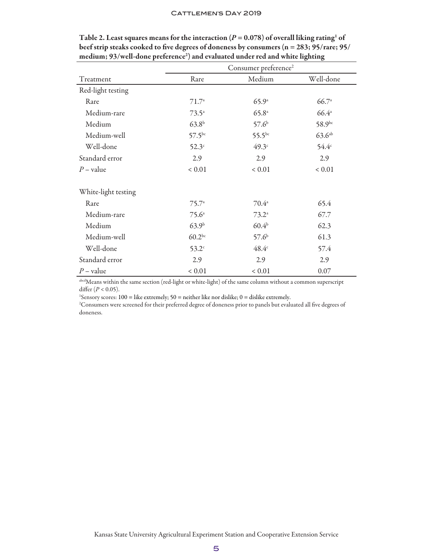|                     | Consumer preference <sup>2</sup> |                   |                    |  |
|---------------------|----------------------------------|-------------------|--------------------|--|
| Treatment           | Rare                             | Medium            | Well-done          |  |
| Red-light testing   |                                  |                   |                    |  |
| Rare                | $71.7^{\circ}$                   | 65.9 <sup>a</sup> | 66.7 <sup>a</sup>  |  |
| Medium-rare         | $73.5^{\circ}$                   | 65.8a             | $66.4^{\circ}$     |  |
| Medium              | $63.8^{b}$                       | 57.6 <sup>b</sup> | 58.9bc             |  |
| Medium-well         | $57.5^{bc}$                      | $55.5^{bc}$       | 63.6 <sup>ab</sup> |  |
| Well-done           | $52.3^\circ$                     | 49.3 <sup>c</sup> | $54.4^{\circ}$     |  |
| Standard error      | 2.9                              | 2.9               | 2.9                |  |
| $P$ – value         | ${}< 0.01$                       | ${}< 0.01$        | ${}< 0.01$         |  |
| White-light testing |                                  |                   |                    |  |
| Rare                | $75.7^{\circ}$                   | $70.4^{\circ}$    | 65.4               |  |
| Medium-rare         | $75.6^{\circ}$                   | $73.2^{\circ}$    | 67.7               |  |
| Medium              | 63.9 <sup>b</sup>                | 60.4 <sup>b</sup> | 62.3               |  |
| Medium-well         | $60.2^{bc}$                      | 57.6 <sup>b</sup> | 61.3               |  |
| Well-done           | $53.2^\circ$                     | $48.4^\circ$      | 57.4               |  |
| Standard error      | 2.9                              | 2.9               | 2.9                |  |
| $P$ – value         | ${}< 0.01$                       | ${}< 0.01$        | 0.07               |  |

Table 2. Least squares means for the interaction ( $P = 0.078$ ) of overall liking rating<sup>1</sup> of beef strip steaks cooked to five degrees of doneness by consumers (n = 283; 95/rare; 95/ medium; 93/well-done preference<sup>2</sup>) and evaluated under red and white lighting

abcdMeans within the same section (red-light or white-light) of the same column without a common superscript differ  $(P < 0.05)$ .

<sup>1</sup>Sensory scores: 100 = like extremely; 50 = neither like nor dislike; 0 = dislike extremely.

2 Consumers were screened for their preferred degree of doneness prior to panels but evaluated all five degrees of doneness.